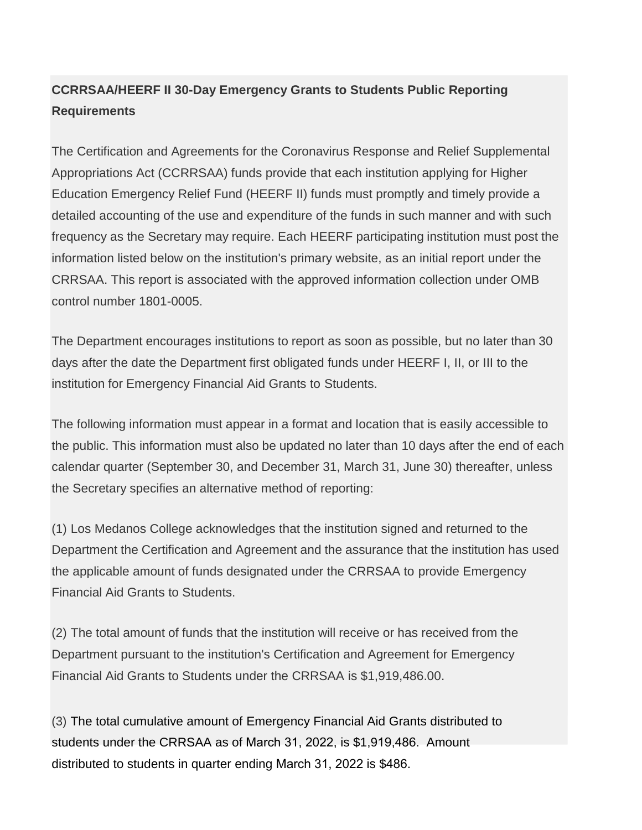## **CCRRSAA/HEERF II 30-Day Emergency Grants to Students Public Reporting Requirements**

The Certification and Agreements for the Coronavirus Response and Relief Supplemental Appropriations Act (CCRRSAA) funds provide that each institution applying for Higher Education Emergency Relief Fund (HEERF II) funds must promptly and timely provide a detailed accounting of the use and expenditure of the funds in such manner and with such frequency as the Secretary may require. Each HEERF participating institution must post the information listed below on the institution's primary website, as an initial report under the CRRSAA. This report is associated with the approved information collection under OMB control number 1801-0005.

The Department encourages institutions to report as soon as possible, but no later than 30 days after the date the Department first obligated funds under HEERF I, II, or III to the institution for Emergency Financial Aid Grants to Students.

The following information must appear in a format and location that is easily accessible to the public. This information must also be updated no later than 10 days after the end of each calendar quarter (September 30, and December 31, March 31, June 30) thereafter, unless the Secretary specifies an alternative method of reporting:

(1) Los Medanos College acknowledges that the institution signed and returned to the Department the Certification and Agreement and the assurance that the institution has used the applicable amount of funds designated under the CRRSAA to provide Emergency Financial Aid Grants to Students.

(2) The total amount of funds that the institution will receive or has received from the Department pursuant to the institution's Certification and Agreement for Emergency Financial Aid Grants to Students under the CRRSAA is \$1,919,486.00.

(3) The total cumulative amount of Emergency Financial Aid Grants distributed to students under the CRRSAA as of March 31, 2022, is \$1,919,486. Amount distributed to students in quarter ending March 31, 2022 is \$486.